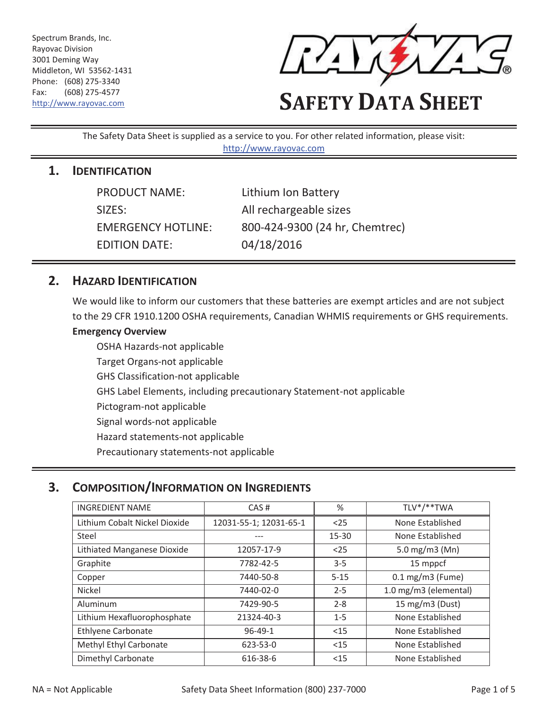Spectrum Brands, Inc. Rayovac Division 3001 Deming Way Middleton, WI 53562-1431 Phone: (608) 275-3340 Fax: (608) 275-4577



# Fax: (608) 275-4577<br>http://www.rayovac.com **SAFETY DATA SHEET**

The Safety Data Sheet is supplied as a service to you. For other related information, please visit: http://www.rayovac.com

#### **1. IDENTIFICATION**

| <b>PRODUCT NAME:</b>      | Lithium Ion Battery            |
|---------------------------|--------------------------------|
| SIZES:                    | All rechargeable sizes         |
| <b>EMERGENCY HOTLINE:</b> | 800-424-9300 (24 hr, Chemtrec) |
| <b>EDITION DATE:</b>      | 04/18/2016                     |

#### **2. HAZARD IDENTIFICATION**

 to the 29 CFR 1910.1200 OSHA requirements, Canadian WHMIS requirements or GHS requirements. We would like to inform our customers that these batteries are exempt articles and are not subject

#### **Emergency Overview**

OSHA Hazards-not applicable Target Organs-not applicable GHS Classification-not applicable GHS Label Elements, including precautionary Statement-not applicable Pictogram-not applicable Signal words-not applicable Hazard statements-not applicable Precautionary statements-not applicable

## **3. COMPOSITION/INFORMATION ON INGREDIENTS**

| <b>INGREDIENT NAME</b>        | %<br>CAS#              |           | TLV*/**TWA            |
|-------------------------------|------------------------|-----------|-----------------------|
| Lithium Cobalt Nickel Dioxide | 12031-55-1; 12031-65-1 | $25$      | None Established      |
| Steel                         |                        | $15 - 30$ | None Established      |
| Lithiated Manganese Dioxide   | 12057-17-9             | $25$      | 5.0 mg/m3 ( $Mn$ )    |
| Graphite                      | 7782-42-5              | $3 - 5$   | 15 mppcf              |
| Copper                        | 7440-50-8              | $5 - 15$  | $0.1$ mg/m3 (Fume)    |
| Nickel                        | 7440-02-0              | $2 - 5$   | 1.0 mg/m3 (elemental) |
| Aluminum                      | 7429-90-5              | $2 - 8$   | 15 mg/m3 (Dust)       |
| Lithium Hexafluorophosphate   | 21324-40-3             | $1 - 5$   | None Established      |
| <b>Ethlyene Carbonate</b>     | $96 - 49 - 1$          | $15$      | None Established      |
| Methyl Ethyl Carbonate        | 623-53-0               | $15$      | None Established      |
| Dimethyl Carbonate            | 616-38-6               | $<$ 15    | None Established      |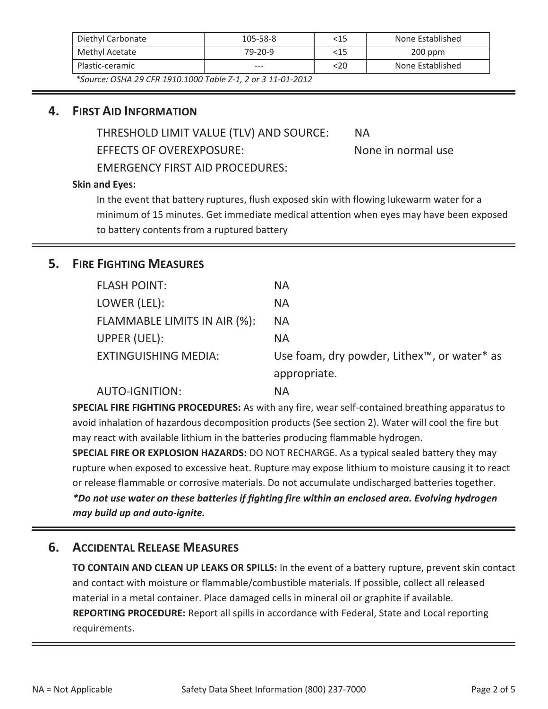| Diethyl Carbonate                                           | $105 - 58 - 8$ | <15    | None Established |
|-------------------------------------------------------------|----------------|--------|------------------|
| Methyl Acetate                                              | 79-20-9        | <15    | $200$ ppm        |
| Plastic-ceramic                                             | $- - -$        | $<$ 20 | None Established |
| $\overline{u}$<br>$\sim$ $\sim$ $\sim$ $\sim$ $\sim$ $\sim$ |                |        |                  |

 *\*Source: OSHA 29 CFR 1910.1000 Table Z-1, 2 or 3 11-01-2012* 

#### **4. FIRST AID INFORMATION**

THRESHOLD LIMIT VALUE (TLV) AND SOURCE: NA

EFFECTS OF OVEREXPOSURE:

EMERGENCY FIRST AID PROCEDURES:

None in normal use

#### **Skin and Eyes:**

 to battery contents from a ruptured battery In the event that battery ruptures, flush exposed skin with flowing lukewarm water for a minimum of 15 minutes. Get immediate medical attention when eyes may have been exposed

## **5. FIRE FIGHTING MEASURES**

| <b>FLASH POINT:</b>          | <b>NA</b>                                                            |
|------------------------------|----------------------------------------------------------------------|
| LOWER (LEL):                 | <b>NA</b>                                                            |
| FLAMMABLE LIMITS IN AIR (%): | <b>NA</b>                                                            |
| UPPER (UEL):                 | <b>NA</b>                                                            |
| <b>EXTINGUISHING MEDIA:</b>  | Use foam, dry powder, Lithex <sup>™</sup> , or water <sup>*</sup> as |
|                              | appropriate.                                                         |
| <b>AUTO-IGNITION:</b>        | NА                                                                   |

**SPECIAL FIRE FIGHTING PROCEDURES:** As with any fire, wear self-contained breathing apparatus to avoid inhalation of hazardous decomposition products (See section 2). Water will cool the fire but may react with available lithium in the batteries producing flammable hydrogen.

 **SPECIAL FIRE OR EXPLOSION HAZARDS:** DO NOT RECHARGE. As a typical sealed battery they may rupture when exposed to excessive heat. Rupture may expose lithium to moisture causing it to react or release flammable or corrosive materials. Do not accumulate undischarged batteries together.

*\*Do not use water on these batteries if fighting fire within an enclosed area. Evolving hydrogen may build up and auto-ignite.* 

## **6. ACCIDENTAL RELEASE MEASURES**

**TO CONTAIN AND CLEAN UP LEAKS OR SPILLS:** In the event of a battery rupture, prevent skin contact and contact with moisture or flammable/combustible materials. If possible, collect all released material in a metal container. Place damaged cells in mineral oil or graphite if available. **REPORTING PROCEDURE:** Report all spills in accordance with Federal, State and Local reporting requirements.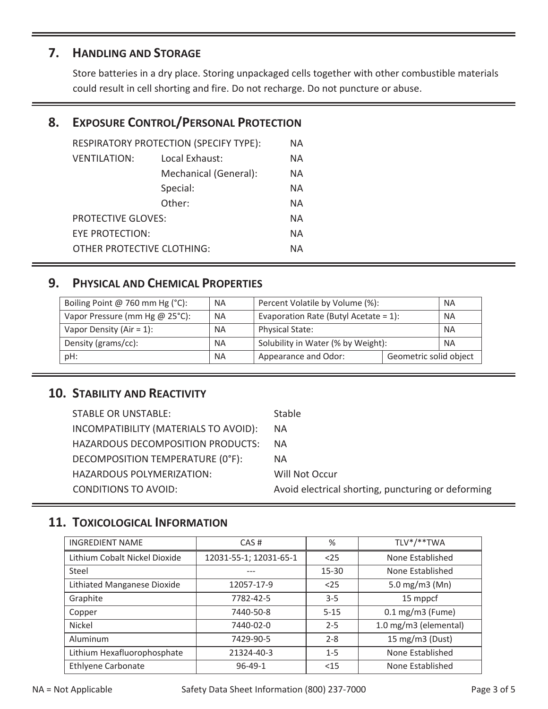## **7. HANDLING AND STORAGE**

Store batteries in a dry place. Storing unpackaged cells together with other combustible materials could result in cell shorting and fire. Do not recharge. Do not puncture or abuse.

## **8. EXPOSURE CONTROL/PERSONAL PROTECTION**

| RESPIRATORY PROTECTION (SPECIFY TYPE): |                       |    |
|----------------------------------------|-----------------------|----|
| <b>VENTILATION:</b>                    | Local Exhaust:        | ΝA |
|                                        | Mechanical (General): | ΝA |
|                                        | Special:              | ΝA |
|                                        | Other:                | ΝA |
| <b>PROTECTIVE GLOVES:</b>              |                       | ΝA |
| EYE PROTECTION:                        |                       | ΝA |
| OTHER PROTECTIVE CLOTHING:<br>NА       |                       |    |
|                                        |                       |    |

## **9. PHYSICAL AND CHEMICAL PROPERTIES**

| Boiling Point @ 760 mm Hg (°C): | <b>NA</b> | Percent Volatile by Volume (%):<br><b>NA</b>          |  |  |
|---------------------------------|-----------|-------------------------------------------------------|--|--|
| Vapor Pressure (mm Hg @ 25°C):  | <b>NA</b> | Evaporation Rate (Butyl Acetate = $1$ ):<br><b>NA</b> |  |  |
| Vapor Density (Air = $1$ ):     | <b>NA</b> | <b>Physical State:</b><br><b>NA</b>                   |  |  |
| Density (grams/cc):             | <b>NA</b> | Solubility in Water (% by Weight):<br><b>NA</b>       |  |  |
| pH:                             | <b>NA</b> | Appearance and Odor:<br>Geometric solid object        |  |  |

## **10. STABILITY AND REACTIVITY**

| <b>STABLE OR UNSTABLE:</b>            | <b>Stable</b>                                      |
|---------------------------------------|----------------------------------------------------|
| INCOMPATIBILITY (MATERIALS TO AVOID): | <b>NA</b>                                          |
| HAZARDOUS DECOMPOSITION PRODUCTS:     | <b>NA</b>                                          |
| DECOMPOSITION TEMPERATURE (0°F):      | NА                                                 |
| HAZARDOUS POLYMERIZATION:             | Will Not Occur                                     |
| <b>CONDITIONS TO AVOID:</b>           | Avoid electrical shorting, puncturing or deforming |

## **11. TOXICOLOGICAL INFORMATION**

| <b>INGREDIENT NAME</b>        | CAS#<br>%              |                             | TLV*/**TWA            |  |
|-------------------------------|------------------------|-----------------------------|-----------------------|--|
| Lithium Cobalt Nickel Dioxide | 12031-55-1; 12031-65-1 | $25$                        | None Established      |  |
| Steel                         |                        | 15-30                       | None Established      |  |
| Lithiated Manganese Dioxide   | 12057-17-9             | $25$                        | 5.0 mg/m3 (Mn)        |  |
| Graphite                      | 7782-42-5              | 15 mppcf<br>$3 - 5$         |                       |  |
| Copper                        | 7440-50-8              | $5 - 15$                    | $0.1$ mg/m3 (Fume)    |  |
| Nickel                        | 7440-02-0              | $2 - 5$                     | 1.0 mg/m3 (elemental) |  |
| Aluminum                      | 7429-90-5              | $2 - 8$                     | 15 mg/m3 (Dust)       |  |
| Lithium Hexafluorophosphate   | 21324-40-3             | None Established<br>$1 - 5$ |                       |  |
| <b>Ethlyene Carbonate</b>     | $96 - 49 - 1$          | $15$                        | None Established      |  |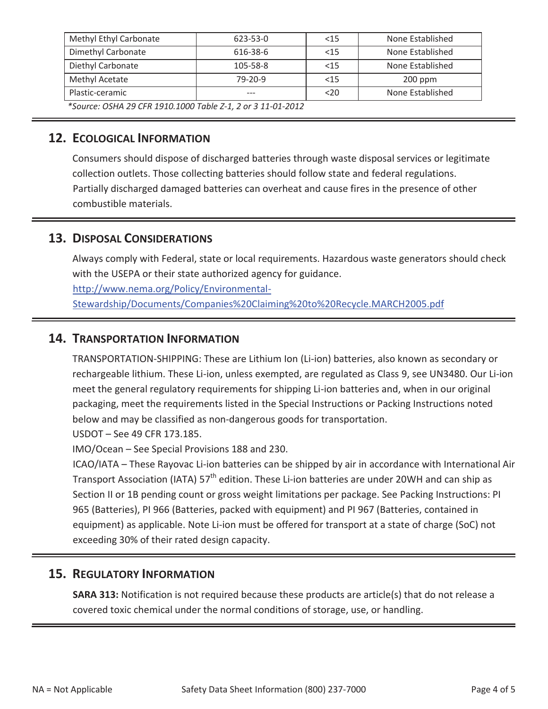| Methyl Ethyl Carbonate | $623 - 53 - 0$ | $<$ 15 | None Established |
|------------------------|----------------|--------|------------------|
| Dimethyl Carbonate     | 616-38-6       | < 15   | None Established |
| Diethyl Carbonate      | 105-58-8       | < 15   | None Established |
| Methyl Acetate         | $79 - 20 - 9$  | < 15   | $200$ ppm        |
| Plastic-ceramic        | ---            | $20$   | None Established |

 *\*Source: OSHA 29 CFR 1910.1000 Table Z-1, 2 or 3 11-01-2012* 

#### **12. ECOLOGICAL INFORMATION**

Consumers should dispose of discharged batteries through waste disposal services or legitimate collection outlets. Those collecting batteries should follow state and federal regulations. Partially discharged damaged batteries can overheat and cause fires in the presence of other combustible materials.

## **13. DISPOSAL CONSIDERATIONS**

with the USEPA or their state authorized agency for guidance.<br>http://www.nema.org/Policy/Environmental-Always comply with Federal, state or local requirements. Hazardous waste generators should check

Stewardship/Documents/Companies%20Claiming%20to%20Recycle.MARCH2005.pdf

#### **14. TRANSPORTATION INFORMATION**

below and may be classified as non-dangerous goods for transportation.<br>USDOT – See 49 CFR 173.185. TRANSPORTATION-SHIPPING: These are Lithium Ion (Li-ion) batteries, also known as secondary or rechargeable lithium. These Li-ion, unless exempted, are regulated as Class 9, see UN3480. Our Li-ion meet the general regulatory requirements for shipping Li-ion batteries and, when in our original packaging, meet the requirements listed in the Special Instructions or Packing Instructions noted

IMO/Ocean – See Special Provisions 188 and 230.

ICAO/IATA – These Rayovac Li-ion batteries can be shipped by air in accordance with International Air Transport Association (IATA) 57<sup>th</sup> edition. These Li-ion batteries are under 20WH and can ship as Section II or 1B pending count or gross weight limitations per package. See Packing Instructions: PI 965 (Batteries), PI 966 (Batteries, packed with equipment) and PI 967 (Batteries, contained in equipment) as applicable. Note Li-ion must be offered for transport at a state of charge (SoC) not exceeding 30% of their rated design capacity.

## **15. REGULATORY INFORMATION**

**SARA 313:** Notification is not required because these products are article(s) that do not release a covered toxic chemical under the normal conditions of storage, use, or handling.